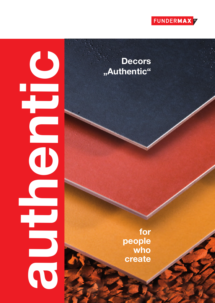

# **authentic** O

Decors **" A u t h e n t i c "**

> **f o r people w h o**  $\bf{c}$  **reate**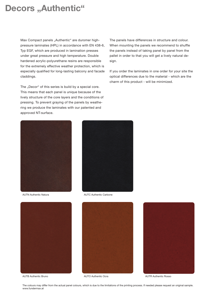### **Decors** "Authentic"

Max Compact panels "Authentic" are duromer highpressure laminates (HPL) in accordance with EN 438-6, Typ EGF, which are produced in lamination presses under great pressure and high temperature. Double hardened acrylic-polyurethane resins are responsible for the extremely effective weather protection, which is especially qualified for long-lasting balcony and facade claddings.

The "Decor" of this series is build by a special core. This means that each panel is unique because of the lively structure of the core layers and the conditions of pressing. To prevent graying of the panels by weathering we produce the laminates with our patented and approved NT-surface.

The panels have differences in structure and colour. When mounting the panels we recommend to shuffle the panels instead of taking panel by panel from the pallet in order to that you will get a lively natural design.

If you order the laminates in one order for your site the optical differences due to the material - which are the charm of this product - will be minimized.







AUTB Authentic Bruno



AUTC Authentic Carbone



AUTO Authentic Ocra **AUTR Authentic Rosso** 

The colours may differ from the actual panel colours, which is due to the limitations of the printing process. If needed please request an original sample. www.fundermax.at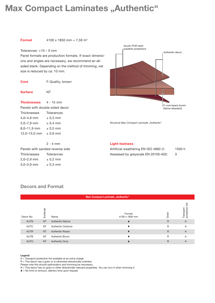# **Max Compact Laminates "Authentic"**

**Format** 4100 x 1850 mm = 7,59 m<sup>2</sup>

#### Tolerances: +10 – 0 mm

Panel formats are production formats. If exact dimensions and angles are necessary, we recommend an allsided blank. Depending on the method of trimming, net size is reduced by ca. 10 mm.

| <b>Core</b>                    | F-Quality, brown |  |  |  |  |
|--------------------------------|------------------|--|--|--|--|
| <b>Surface</b>                 | NΤ               |  |  |  |  |
| <b>Thicknesses</b> 4 - 15 mm   |                  |  |  |  |  |
| Panels with double-sided decor |                  |  |  |  |  |
| Thicknesses                    | Tolerances       |  |  |  |  |
| $4,0 - 4,9$ mm                 | $\pm$ 0.3 mm     |  |  |  |  |
| $5.0 - 7.9$ mm                 | $\pm$ 0.4 mm     |  |  |  |  |
| 8,0–11,9 mm                    | $\pm$ 0.5 mm     |  |  |  |  |
| 12,0-15,0 mm $\pm$ 0,6 mm      |                  |  |  |  |  |
|                                | 2 - 4 mm         |  |  |  |  |

| Panels with sanded-reverse side |                   |
|---------------------------------|-------------------|
| <b>Thicknesses</b>              | <b>Tolerances</b> |
| $2,0-2,9$ mm                    | $\pm$ 0.2 mm      |
| $3,0 - 3,9$ mm                  | $\pm$ 0.3 mm      |



Structure Max Compact Laminate "Authentic"

#### **Light-fastness**

| Artificial weathering EN ISO 4892-2: | 1500 h |
|--------------------------------------|--------|
| Assessed by greyscale EN 20105-A02:  |        |

| <b>Max Compact Laminate "Authentic"</b> |           |                         |                          |              |                              |  |  |  |
|-----------------------------------------|-----------|-------------------------|--------------------------|--------------|------------------------------|--|--|--|
| Decor No.                               | Surfacee  | Name                    | Format<br>4100 x 1850 mm | Grain        | ㅎ<br>Transport<br>protection |  |  |  |
| <b>AUTN</b>                             | <b>NT</b> | <b>Authentic Natura</b> |                          | $\mathsf{R}$ | A                            |  |  |  |
| <b>AUTC</b>                             | <b>NT</b> | Authentic Carbone       |                          | $\mathsf{R}$ | A                            |  |  |  |
| <b>AUTR</b>                             | <b>NT</b> | <b>Authentic Rosso</b>  |                          | $\mathsf{R}$ | $\overline{A}$               |  |  |  |
| <b>AUTB</b>                             | <b>NT</b> | Authentic Bruno         |                          | $\mathsf{R}$ | A                            |  |  |  |
| <b>AUTO</b>                             | <b>NT</b> | <b>Authentic Ocra</b>   |                          | $\mathsf{R}$ | A                            |  |  |  |

#### **Decors and Format**

#### **Legend**

A = Transport protection foil available at an extra charge.

R = This decor has a grain or is otherwise directionally oriented.

Please note this should optimization and trimming be neccesary.

N = This decor has no grain or other directionally relevant properties. You can turn it when trimming it.

 $\triangleq$  = No limit on amount, delivery time upon request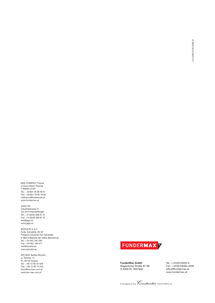MAX COMPACT France 3 Cours Albert Thomas F-69003 LYON Tel.: +33(0)4 78 68 28 31 Fax: +33(0)4 78 85 18 56 infofrance@fundermax.at www.fundermax.at

JAGO AG Industriestrasse 21 CH-5314 Kleindöttingen Tel.: +41(0)56-268 81 31 Fax: +41(0)56-268 81 51 info@jago.ch www.jago.ch

ISOVOLTA S.A.U Avda. Salvatella, 85–97 Poligono Industrial Can Salvatella E-08210 Barberà del Vallès (Barcelona) Tel.: +34-937 297 550 Fax: +34-937 190 511 info@isovolta.es www.isovolta.es

ISO-MAX Spólka Akcyjna ul. Rybitwy 12 PL-30722 Krakau Tel.: +48-12-65 34 528 Fax: +48-12-65 70 545 biuro@iso-max.com.pl www.iso-max.com.pl



**FunderMax GmbH** Klagenfurter Straße 87-89 A-9300 St. Veit/Glan

Tel.: +43(0)5/9494-0 Fax: +43(0)5/9494-4200 office@fundermax.at www.fundermax.at

A Company of the *Constantia* INDUSTRIES AG